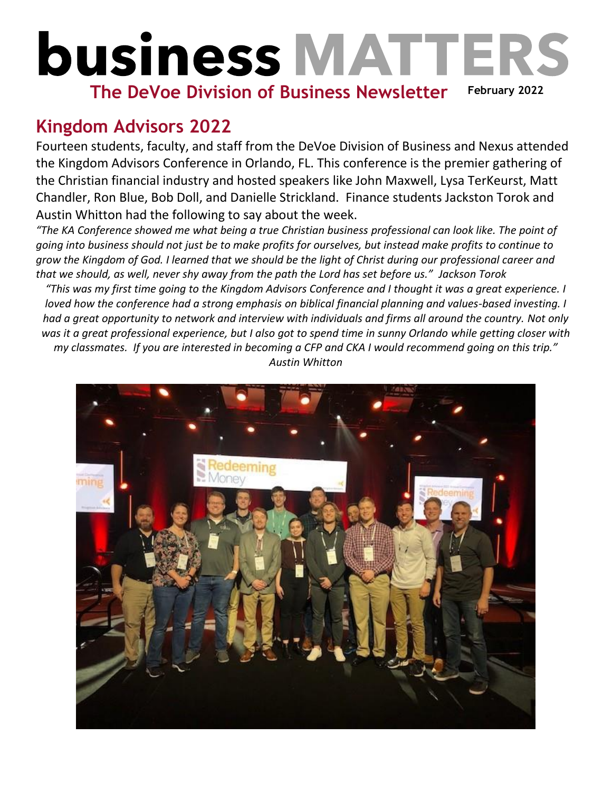## **business MATTERS February 2022 The DeVoe Division of Business Newsletter**

## **Kingdom Advisors 2022**

Fourteen students, faculty, and staff from the DeVoe Division of Business and Nexus attended the Kingdom Advisors Conference in Orlando, FL. This conference is the premier gathering of the Christian financial industry and hosted speakers like John Maxwell, Lysa TerKeurst, Matt Chandler, Ron Blue, Bob Doll, and Danielle Strickland. Finance students Jackston Torok and Austin Whitton had the following to say about the week.

*"The KA Conference showed me what being a true Christian business professional can look like. The point of going into business should not just be to make profits for ourselves, but instead make profits to continue to grow the Kingdom of God. I learned that we should be the light of Christ during our professional career and that we should, as well, never shy away from the path the Lord has set before us." Jackson Torok*

*"This was my first time going to the Kingdom Advisors Conference and I thought it was a great experience. I loved how the conference had a strong emphasis on biblical financial planning and values-based investing. I had a great opportunity to network and interview with individuals and firms all around the country. Not only was it a great professional experience, but I also got to spend time in sunny Orlando while getting closer with my classmates. If you are interested in becoming a CFP and CKA I would recommend going on this trip." Austin Whitton*